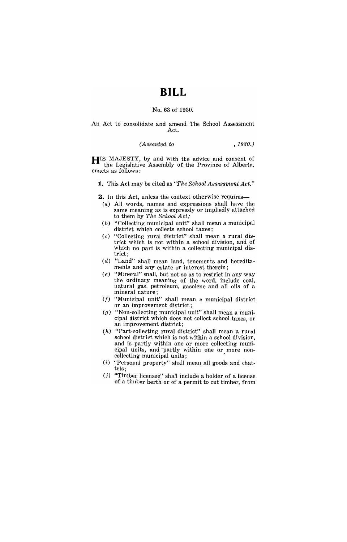# **BILL**

# No. 63 of 1930.

# An Act to consolidate and amend The School Assessment Act.

# *(Assented to , 1930.)*

HIS MAJESTY, by and with the advice and consent of the Legislative Assembly of the Province of Alberta, enacts as follows:

**1.** This Act may be cited as *"The School Assessment Act."* 

**2.** In this Act, unless the context otherwise requires-

- $(a)$  All words, names and expressions shall have the same meaning as is expressly or impliedly attached to them by *The School Act;*
- (b) "Collecting municipal unit" shall mean a municipal district which collects school taxes;
- $(c)$  "Collecting rural district" shall mean a rural district which is not within a school division, and of which no part is within a collecting municipal district;
- (d) "Land" shall mean land, tenements and hereditaments and any estate or interest therein;
- (e) "Mineral" shall, but not so as to restrict in any way the ordinary meaning of the word, include coal, natural gas, petroleum, gasolene and all oils of a mineral nature;
- $(f)$  "Municipal unit" shall mean a municipal district or an improvement district;
- $(g)$  "Non-collecting municipal unit" shall mean a municipal district which does not collect school taxes, or an improvement district;
- $(h)$  "Part-collecting rural district" shall mean a rural school district which is not within a school division, and is partly within one or more collecting muniing is partly within one or more conceting mumpar units, and partly within one of it
- University matter particles.<br>i) "Personal property" shall mean all goods and chat-ان<br>pls tels;<br>(*j*) "Timber licensee" shall include a holder of a license
- of a timber berth or of a permit to cut timber, from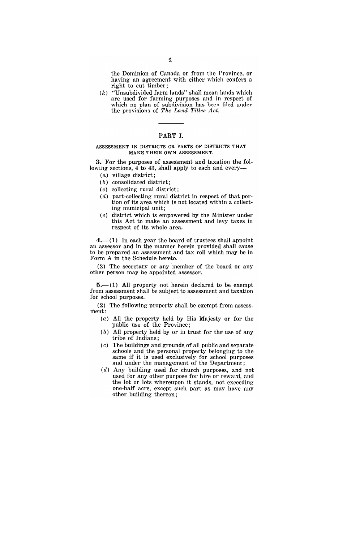the Dominion of Canada or from the Province, or having an agreement with either which confers a right to cut timber;

 $(k)$  "Unsubdivided farm lands" shall mean lands which are used for farming purposes and in respect of which no plan of subdivision has been filed under the provisions of *The Land Titles Act.* 

### PART 1.

#### ASSESSMENT IN DISTRICTS OR PARTS OF DISTRICTS THAT MAKE THEIR OWN ASSESSMENT.

**3.** For the purposes of assessment and taxation the following sections,  $\overline{4}$  to  $\overline{43}$ , shall apply to each and every--

- (a) village district;
- (b) consolidated district;
- (c) collecting rural district;
- (d) part-collecting rural district in respect of that portion of its area which is not located within a collecting municipal unit;
- (e) district which is empowered by the Minister under this Act to make an assessment and levy taxes in respect of its whole area.

 $4.$ —(1) In each year the board of trustees shall appoint an assessor and in the manner herein provided shall cause to be prepared an assessment and tax roll which may be in Form A in the Schedule hereto.

(2) The secretary or any member of the board or any other person may be appointed assessor.

 $5-(1)$  All property not herein declared to be exempt from assessment shall be subject to assessment and taxation for school purposes.

(2) The following property shall be exempt from assess $ment:$ 

- (a) All the property held by His Majesty or for the public use of the Province;
- (b) All property held by or in trust for the use of any tribe of Indians;
- (c) The buildings and grounds of all public and separate schools and the personal property belonging to the same if it is used exclusively for school purposes and under the management of the Department;
- (d) Any building used for church purposes, and not used for any other purpose for hire or reward, and the lot or lots \vhereupon it stands, not exceeding one-half acre, except such part as may have any other building thereon;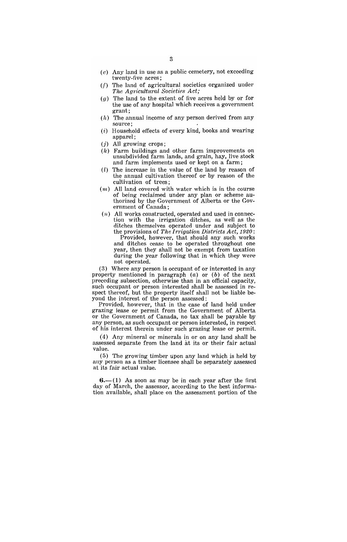- $(e)$  Any land in use as a public cemetery, not exceeding twenty-five acres;
- $(f)$  The land of agricultural societies organized under *The Agricultural Societies Act;*
- $(g)$  The land to the extent of five acres held by or for the use of any hospital which receives a government grant;
- $(h)$  The annual income of any person derived from any source;
- $(i)$  Household effects of every kind, books and wearing apparel;
- $(j)$  All growing crops;
- (k) Farm buildings and other farm improvements on unsubdivided farm lands, and grain, hay, live stock and farm implements used or kept on a farm;
- (l) The increase in the value of the land by reason of the annual cultivation thereof or by reason of the cultivation of trees;
- $(m)$  All land covered with water which is in the course of being reclaimed under any plan or scheme authorized by the Government of Alberta or the Government of Canada;
- $(n)$  All works constructed, operated and used in connection with the irrigation ditches, as well as the ditches themselves operated under and subject to the provisions of *The Irrigation Districts Act*, 1920: Provided, however, that should any such works and ditches cease to be operated throughout one year, then they shall not be exempt from taxation during the year following that in which they were not operated.

(3) Where any person is occupant of or interested in any property mentioned in paragraph  $(a)$  or  $(b)$  of the next preceding subsection, otherwise than in an official capacity, such occupant or person interested shall be assessed in respect thereof, but the property itself shall not be liable beyond the interest of the person assessed:

Provided, however, that in the case of land held under grazing lease or permit from the Government of Alberta or the Government of Canada, no tax shall be payable by any person, as such occupant or person interested, in respect of his interest therein under such grazing lease or permit.

(4) Any mineral or minerals in or on any land shall be assessed separate from the land at its or their fair actual value.

(5) The growing timber upon any land which is held by any person as a timber licensee shall be separately assessed at its fair actual value.

 $6-(1)$  As soon as may be in each year after the first day of March, the assessor, according to the best information available, shall place on the assessment portion of the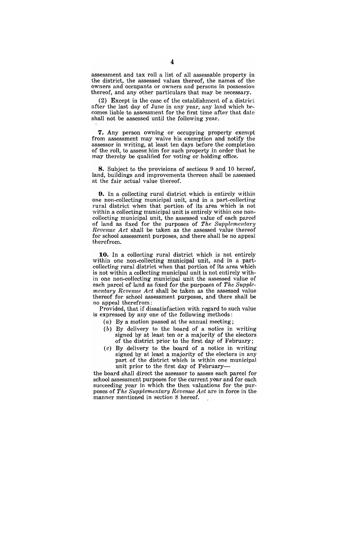assessment and tax roll a list of all assessable property in the district, the assessed values thereof, the names of the owners and occupants or owners and persons in possession thereof, and any other particulars that may be necessary.

 $(2)$  Except in the case of the establishment of a district after the last day of June in any year, any land which becomes liable to assessment for the first time after that date shall not be assessed until the following year.

**7.** Any person owning or occupying property exempt from assessment may waive his exemption and notify the assessor in writing, at least ten days before the completion of the roll, to assess; him for such property in order that he may thereby be qualified for voting or holding office.

**8.** Subject to the provisions of sections 9 and 10 hereof, land, buildings and improvements thereon shall be assessed at the fair actual value thereof.

**9.** In a collecting rural district which is entirely within one non-collecting municipal unit, and in a part-collecting rural district when that portion of its area which is not within a collecting municipal unit is entirely within one noncollecting municipal unit, the assessed value of each parcel of land as fixed for the purposes of *The Supplementary Revenue Act* shall be taken as the assessed value thereof for school assessment purposes, and there shall be no appeal therefrom.

10. In a collecting rural district which is not entirely within one non-collecting municipal unit, and in a partcollecting rural district when that portion of its area which is not within a collecting municipal unit is not entirely within one non-collecting municipal unit the assessed value of each parcel of land as fixed for the purposes of *The Supplementary Revenue Act shall be taken as the assessed value* thereof for school assessment purposes, and there shall be no appeal therefrom:

Provided, that if dissatisfaction with regard to such value is expressed by any one of the following methods:

- (a) By a motion passed at the annual meeting;
	- (b) By delivery to the board of a notice in writing signed by at least ten or a majority of the electors of the district prior to the first day of February;
- (c) By delivery to the board of a notice in writing signed by at least a majority of the electors in any part of the district which is within one municipal unit prior to the first day of February-

the board shall direct the assessor to assess each parcel for school assessment purposes for the current year and for each succeeding year in which the then valuations for the purposes of *The Supplementary Re'venue Act* are in force in the manner mentioned in section 8 hereof.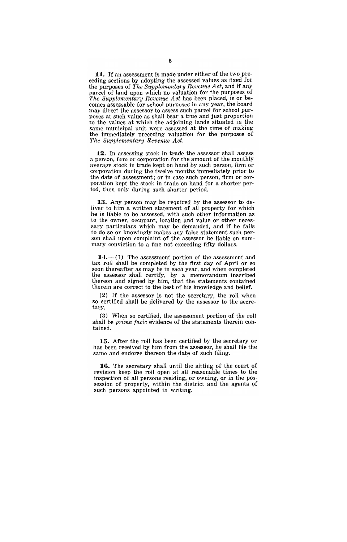**11.** If an assessment is made under either of the two pre-**11.** If an assessment is made under either of the two preceding sections by adopting the assessed values as fixed for the purposes of The Supplementary Revenue Act, and if any parcel of land upon which no valuation for the purposes of The Supplementary Revenue Act has been placed, is or becomes assessable for school purposes in any year, the board may direct the assessor to assess such parcel for school purposes at such value as shall bear a true and just proportion to the values at which the adjoining lands situated in the same municipal unit were assessed at the time of making *The Supplementary Revenue Act.* 

**12.** In assessing stock in trade the assessor shall assess **12.** In assessing stock in trade the assessor shall assess a person, firm or corporation for the amount of the monthly average stock in trade kept on hand by such person, firm or corporation during the twelve months immediately prior to the date of assessment; or in case such person, firm or corporation kept the stock in trade on hand for a shorter period, then only during such shorter period.

**13.** Any person may be required by the assessor to de-13. Any person may be required by the assessor to deliver to him a written statement of all property for which he is liable to be assessed, with such other information as to the owner, occupant, location and value or other necessary particulars which may be demanded, and if he fails to do so or knowingly makes any false statement such person shall upon complaint of the assessor be liable on summary conviction to a fine not exceeding fifty dollars.

**14.-**(1) The assessment portion of the assessment and **14.**  $\leftarrow$  (1) The assessment portion of the assessment and tax roll shall be completed by the first day of April or so soon thereafter as may be in each year, and when completed the assessor shall certify, by a memorandum inscribed ereon and signed by him, that the statements contained. therein are correct to the best of his knowledge and belief.

(2) If the assessor is not the secretary, the roll when so certified shall be delivered by the assessor to the secre-<br>tary. (3) When so certified, the assessment portion of the roll of the roll of the roll of the roll of the roll of the roll of the roll of the roll of the roll of the roll of the roll of the roll of the roll of the roll of the

(3) When so certified, the assessment portion of the roll shall be *prima facie* evidence of the statements therein contained.

**15.** After the roll has been certified by the secretary or **15.** After the roll has been certified by the secretary or has been received by him from the assessor, he shall file the same and endorse thereon the date of such filing.

**16.** The secretary shall until the sitting of the court of 16. The secretary shall until the sitting of the court of revision keep the roll open at all reasonable times to the inspection of all persons residing, or owning, or in the possession of property, within the district and the agents of such persons appointed in writing.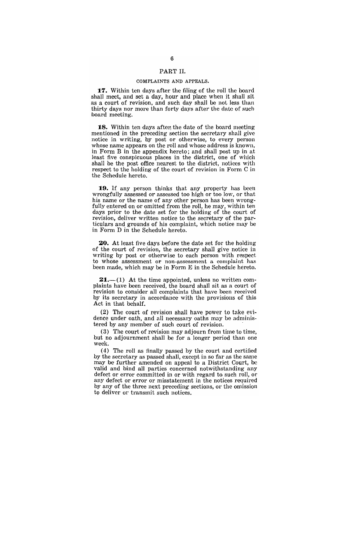# PART II.

#### COMPLAINTS AND APPEALS.

**17.** Within ten days after the filing of the roll the board shall meet, and set a day, hour and place when it shall sit as a court of revision, and such day shall be not less than thirty days nor more than forty days after the date of such board meeting.

**18.** Within ten days after the date of the board meeting mentioned in the preceding section the secretary shall give notice in writing, by post or otherwise, to every person whose name appears on the roll and whose address is known, in Form B in the appendix hereto; and shall post up in at least five conspicuous places in the district, one of which shall be the post office nearest to the district, notices with respect to the holding of the court of revision in Form C in the Schedule hereto.

19. If any person thinks that any property has been wrongfully assessed or assessed too high or too low, or that his name or the name of any other person has been wrongfully entered on or omitted from the roll, he may, within ten days prior to the date set for the holding of the court of revision, deliver written notice to the secretary of the particulars and grounds of his complaint, which notice may be in Form D in the Schedule hereto.

**20.** At least five days before the date set for the holding of the court of revision, the secretary shall give notice in writing by post or otherwise to each person with respect to whose assessment or non-assessment a complaint has been made, which may be in Form E in the Schedule hereto.

 $21-$ (1) At the time appointed, unless no written complaints have been received, the board shall sit as a court of revision to consider all complaints that have been received by its secretary in accordance with the provisions of this Act in that behalf.

(2) The court of revision shall have power to take evidence under oath, and all necessary oaths may be administered by any member of such court of revision. .

(3) The court of revision may adjourn from time to time, but no adjournment shall be for a longer period than one week.

( 4) The roll as finally passed by the court and certified by the secretary as passed shall, except in so far as the same may be further amended on appeal to a District Court, be valid and bind all parties concerned notwithstanding any defect or error committed in or with regard to such roll, or any defect or error or misstatement in the notices required by any of the three next preceding sections, or the omission to deliver or transmit such notices.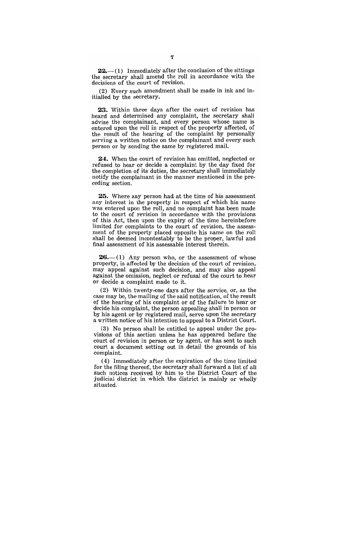$22. - (1)$  Immediately after the conclusion of the sittings the secretary shall amend the roll in accordance with the decisions of the court of revision.

(2) Every such amendment shall be made in ink and initialled by the secretary.

**23.** Within three days after the court of revision has heard and determined any complaint, the secretary shall advise the complainant, and every person whose name is entered upon the roll in respect of the property affected, of the result of the hearing of the complaint by personally serving a written notice on the complainant and every such person or by sending the same by registered mail.

24. When the court of revision has omitted, neglected or refused to hear or decide a complaint by the day fixed for the completion of its duties, the secretary shall immediately notify the complainant in the manner mentioned in the preceding section.

**25.** Where any person had, at the time of his assessment any interest in the property in respect of which his name was entered upon the roll, and no complaint has been made to the court of revision in accordance with the provisions of this Act, then upon the expiry of the time hereinbefore limited for complaints to the court of revision, the assessment of the property placed opposite his name on the roll shall be deemed incontestably to be the proper, lawful and final assessment of his assessable interest therein.

**26.**-(1) Any person who, or the assessment of whose property, is affected by the decision of the court of revision, . may appeal against such decision, and may also appeal against the omission, neglect or refusal of the court to hear or decide a complaint made to it.

(2) Within twenty-one days after the service, or, as the case may be, the mailing of the said notification, of the result of the hearing of his complaint or of the failure to hear or decide his complaint, the person appealing shall in person or by his agent or by registered mail, serve upon the secretary a written notice of his intention to appeal to a District Court.

(3) No person shall be entitled to appeal under the provisions of this section unless he has appeared before the court of revision in person or by agent. or has sent to such court a document setting out in detail the grounds of his complaint.

(4) Immediately after the expiration of the time limited for the filing thereof, the secretary shall forward a list of all such notices received by him to the District Court of the judicial district in which the district is mainly or wholly situated.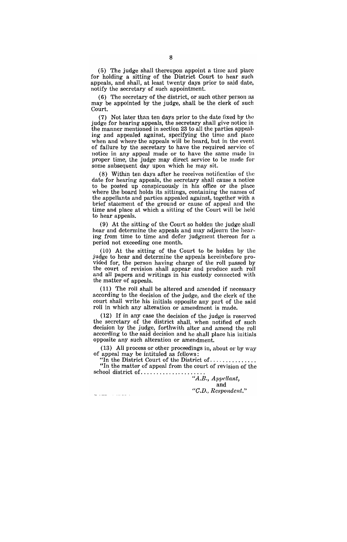(5) The judge shall thereupon appoint a time and place for holding a sitting of the District Court to hear such appeals, and shall, at least twenty days prior to said date, notify the secretary of such appointment.

(6) The secretary of the district, or such other person as may be appointed by the judge, shall be the clerk of such Court.

(7) Not later than ten days prior to the date fixed by the judge for hearing appeals, the secretary shall give notice in the manner mentioned in section 23 to all the parties appealing and appealed against, specifying tho time and place when and where the appeals will be heard, but in the event of failure by the secretary to have the required service of notice in any appeal made or to have the same made in proper time, the judge may direct service to be made for some subsequent day upon which he may sit.

(8) Within ten days after he receives notification of the date for hearing appeals, the secretary shall cause a notice to be posted up conspicuously in his office or the place where the board holds its sittings, containing the names of there are board holds no situally, conditing the names of brief statement of the ground or cause of appeal and the time and place at which a sitting of the Court will be held to hear appeals.

(9) At the sitting of the Court so holden the judge shall hear and determine the appeals and may adjourn the hearing from time to time and defer judgment thereon for a period not exceeding one month.

(10) At the sitting of the Court to be holden by the judge to hear and determine the appeals hereinbefore provided for, the person having charge of the roll passed by the court of revision shall appear and produce such roll and all papers and writings in his custody connected with the matter of appeals.

(11) The roll shall be altered and amended if necessary according to the decision of the judge, and the clerk of the court shall write his initials opposite any part of the said roll in which any alteration or amendment is made.

(12) If in any case the decision of the judge is reserved  $\frac{1}{2}$  is the secretary of the district shall, when notified of such decision by the judge, forthwith alter and amend the roll according to the said decision and he shall place his initials opposite any such alteration or amendment.

(13) All process or other proceedings in, about or by way f appeal may be intituled as follows:<br>"In the District Court of the District of ..............

"In the matter of appeal from the court of revision of the school district of ....... " ............. .

*"A.B., Appcllant,* 

and *"C.D ... Respondent."*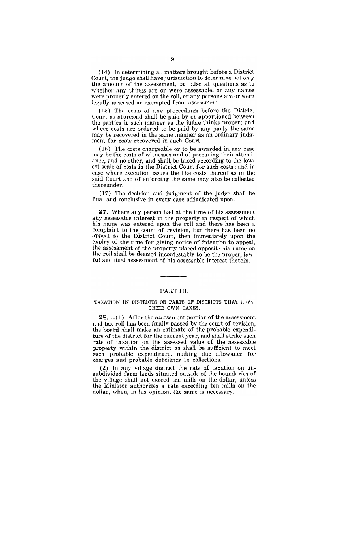(14) In determining all matters brought before a District Court, the judge shall have jurisdiction to determine not only the amount of the assessment, but also all questions as to whether any things are or were assessable, or any names were properly entered on the roll, or any persons are or were legally assessed or exempted from assessment.

 $(15)$  The costs of any proceedings before the District Court as aforesaid shall be paid by or apportioned between the parties in such manner as the judge thinks proper; and where costs are ordered to be paid by any party the same may be recovered in the same manner as an ordinary judgment for costs recovered in such Court.

(16) The costs chargeable or to be awarded in. any case may be the costs of witnesses and of procuring their attendance, and no other, and shall be taxed according to the lowest scale of costs in the District Court for such costs; and in case where execution issues the like costs thereof as in the said Court and of enforcing the same may also be collected thereunder.

(17) The decision and judgment of the judge shall be final and conclusive in every case adjudicated upon.

**27.** Where any person had at the time of his assessment any assessable interest in the property in respect of which his name was entered upon the roll and there has been a complaint to the court of revision, but there has been no appeal to the District Court, then immediately upon the expiry of the time for giving notice of intention to appeal, the assessment of the property placed opposite his name on the roll shall be deemed incontestably to be the proper, lav. ful and final assessment of his assessable interest therein.

#### PART III.

#### TAXATION IN DISTRICTS OR PARTS OF DISTRICTS THAT LEVY THEIR OWN TAXES.

**28.**—(1) After the assessment portion of the assessment and tax roll has been finally passed by the court of revision, the board shall make an estimate of the probable expenditure of the district for the current year, and shall strike such rate of taxation on the assessed value of the assessable property within the district as shall be sufficient to meet such probable expenditure, making due allowance for charges and probable deficiency in collections.

(2) In any village district the rate of taxation on unsubdivided farm lands situated outside of the boundaries of the viIlage shall not exceed ten mills on the dollar, unless the Minister authorizes a rate exceeding ten mills on the dollar, when, in his opinion, the same is necessary.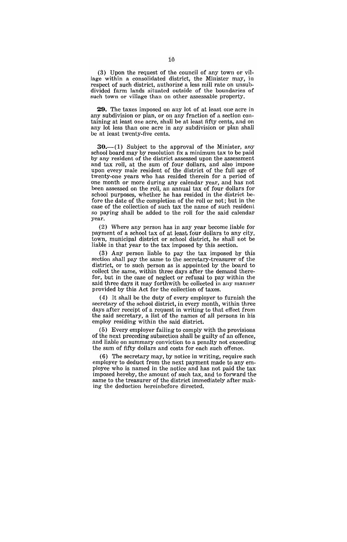(3) Upon the request of the council of any town or village within a consolidated district, the Minister may, in respect of such district, authorize a less mill rate on unsubdivided farm lands situated outside of the boundaries of such town or village than on other assessable property.

**29.** The taxes imposed on any lot of at least one acre in any subdivision or plan, or on any fraction of a section containing at least one acre, shall be at least fifty cents, and on any lot less than one acre in any subdivision or plan shall be at least twenty-five cents.

**30.**—(1) Subject to the approval of the Minister, any  $\mathbf{S}$ .  $\mathbf{S}$  and  $\mathbf{S}$  are paid in the multiple of the paid of the paid of the paid  $\mathbf{S}$ mool board may by resolution its a minimum tax to be paid.<br>I any rosident of the district assessed upon the assessment by any resident of the district assessed upon the assessment<br>and tax roll, at the sum of four dollars, and also impose id tax foll, at the sum of four domars, and also impose pon every male resident of the district of the full age of port is resident of the state of the partial of twenty-one years who has resided therein for a period of one month or more during any calendar year, and has not been assessed on the roll, an annual tax of four dollars for school purposes, whether he has resided in the district before the date of the completion of the roll or not; but in the re the date of the completion of the roll or not, but in the  $\cos \theta$  resident se of the conection of such tax the name of such resident<br>so paying shall be added to the roll for the said calendar so paying shall be added to the roll for the said calendar vear.

(2) Where any person has in any year become liable for payment of a school tax of at least four dollars to any city, ayment of a school tax of at least four domars to any city,<br>wn, municipal district or school district, he shall not be liable in that year to the tax imposed by this section.<br>who in that year to the tax imposed by this section.

liable in that year to the tax imposed by this section.<br>(3) Any person liable to pay the tax imposed by this (b) Any person name to pay the tax imposed by this<br>ection shall pay the same to the secretary-treasurer of the ction shall pay the same to the secretary-treasurer of the<br>strict, or to such person as is appointed by the board to district, or to such person as is appointed by the board to collect the same, within three days after the demand therefor, but in the case of neglect or refusal to pay within the said three days it may forthwith be collected in any manner provided by this Act for the collection of taxes.

(4) It shall be the duty of every employer to furnish the secretary of the school district, in every month, within three ecretary of the school district, in every month, within three<br>avs after receipt of a request in writing to that effect from ays after receipt of a request in writing to that effect from the said secretary, a list of the names of all persons in his employ residing within the said district.

(5) Every employer failing to comply with the provisions of the next preceding subsection shall be guilty of an offence, and liable on summary conviction to a penalty of all offering. the maple on summary conviction to a penalty not exceed.<br>In sum of fifty dollars and costs for each such offence.

the sum of fifty dollars and costs for each such offence.<br>(6) The secretary may, by notice in writing, require such (b) The secretary may, by notice in writing, require such<br>moletar to deduct from the next payment made to any employer to deduct from the next payment made to any employee who is named in the notice and has not paid the tax imposed hereby, the amount of such tax, and to forward the same to the treasurer of the district immediately after making the deduction hereinbefore directed.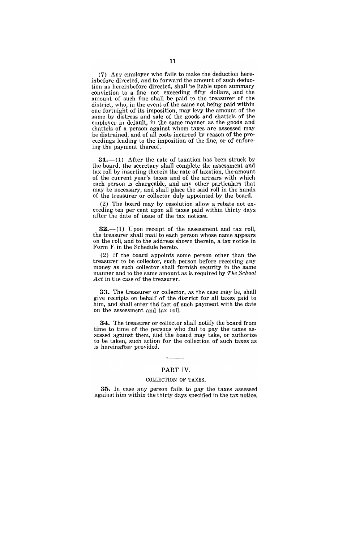(7) Any employer who fails to make the deduction hereinbefore directed, and to forward the amount of such deduction as hereinbefore directed, shall be liable upon summary conviction to a fine not exceeding fifty dollars, and the amount of such fine shall be paid to the treasurer of the district, who, in the event of the same not being paid within one fortnight of its imposition, may levy the amount of the same by distress and sale of the goods and chattels of the employer in default, in the same manner as the goods and chattels of a person against whom taxes are assessed may be distrained, and of all costs incurred by reason of the proceedings leading to the imposition of the fine, or of enforcing the payment thereof.

 $31,-(1)$  After the rate of taxation has been struck by the board, the secretary shall complete the assessment and tax roll by inserting therein the rate of taxation, the amount of the current year's taxes and of the arrears with which each person is chargeable, and any other particulars that may be necessary, and shall place the said roll in the hands of the treasurer or collector duly appointed by the board.

(2) The board may by resolution allow a rebate not exceeding ten per cent upon all taxes paid within thirty days after the date of issue of the tax notices.

 $32-$ (1) Upon receipt of the assessment and tax roll, the treasurer shall mail to each person whose name appears on the roll, and to the address shown therein, a tax notice in Form F. in the Schedule hereto.

(2) If the board appoints some person other than the treasurer to be collector, such person before receiving any money as such collector shall furnish security in the same manner and to the same amount as is required by *The School*  Act in the case of the treasurer.

**33.** The treasurer or collector, as the case may be, shall give receipts on behalf of the district for all taxes paid to him, and shall enter the fact of such payment with the date on the assessment and tax roll.

**34.** The treasurer or collector shall notify the board from **the time of the persons who fail to pay the taxes as**and to thing of the persons who fair to pay the taxes as-<br>essed against them, and the board may take, or authorize to be taken, such action for the collection of such taxes as is hereinafter provided.

### PART IV.

#### COLLECTION OF TAXES.

**35.** In case any person fails to pay the taxes assessed against him within the thirty days specified in the tax notice,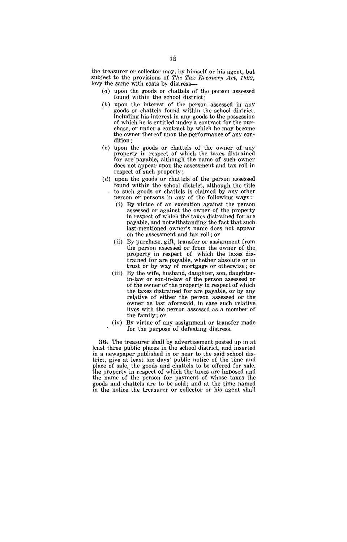the treasurer or collector may, by himself or his agent, but subject to the provisions of The Tax Recovery Act, 1929, levy the same with costs by distress-

- $(a)$  upon the goods or chattels of the person assessed found within the school district;
- (b) upon the interest of the person assessed in any goods or chattels found within the school district, including his interest in any goods to the possession of which he is entitled under a contract for the purchase., or under a contract by which he may become the owner thereof upon the performance of any condition;
- $(c)$  upon the goods or chattels of the owner of any property in respect of which the taxes distrained for are payable, although the name of such owner does not appear upon the assessment and tax roll in respect of such property;
- (d) upon the goods or chattels of the person assessed found within the school district, although the title o such goods or chattels is claimed by any other person or persons in any of the following ways:
	- (i) By virtue of an execution against the person assessed or against the owner of the property in respect of which the taxes distrained for are payable, and notwithstanding the fact that such last-mentioned owner's name does not appear on the assessment and tax roll; or
	- (ii) By purchase, gift, transfer or assignment from the person assessed or from the owner of the property in respect of which the taxes distrained for are payable, whether absolute or in trust or by way of mortgage or otherwise; or
	- (iii) By the wife, husband, daughter, son, daughterin-law or son-in-law of the person assessed or of the owner of the property in respect of which the taxes distrained for are payable, or by any relative of either the person assessed or the owner as last aforesaid, in case such relative lives with the person assessed as a member of the family; or
	- (iv) By virtue of any assignment or transfer made for the purpose of defeating distress.

**36.** The treasurer shall by advertisement posted up in at least three public places in the school district, and inserted in a newspaper published in or near to the said school dis-I a newspaper published in or hear to the said school dis-<br>rict, give at least six days' public notice of the time and Fitt, give at least six days public honce of the time and  $\alpha$ the property in respect of which the taxes are imposed and the name of the person for payment of whose taxes the goods and chattels are to be sold; and at the time named in the notice the treasurer or collector or his agent shall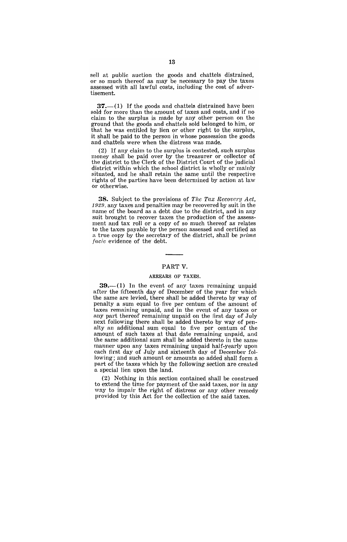sell at public auction the goods and chattels distrained, or so much thereof as may be necessary to pay the taxes assessed with all lawful costs, including the cost of advertisement.

 $37.$ —(1) If the goods and chattels distrained have been sold for more than the amount of taxes and costs, and if no claim to the surplus is made by any other person on the ground that the goods and chattels sold belonged to him, or that he was entitled by lien or other right to the surplus, it shall be paid to the person in whose possession the goods and chattels were when the distress was made.

(2) If any claim to the surplus is contested, such surplus money shall be paid over by the treasurer or collector of the district to the Clerk of the District Court of the judicial district within which the school district is wholly or mainly situated, and he shall retain the same until the respective rights of the parties have been determined by action at law or otherwise.

38. Subject to the provisions of *The Tnx Recovery Act,*  1929. any taxes and penalties may be recovered by suit in the name of the board as a debt due to the district, and in any suit brought to recover taxes the production of the assessment and tax roll or a copy of so much thereof as relates to the taxes payable by the person assessed and certified as a true copy by the secretary of the district, shall be  $prima$  $face$  evidence of the debt.

# PART V.

# ARREARS OF TAXES.

 $39$ —(1) In the event of any taxes remaining unpaid after the fifteenth day of December of the year for which the same are levied, there shall be added thereto by way of penalty a sum equal to five per centum of the amount of taxes remaining unpaid, and in the event of any taxes or any part thereof remaining unpaid on the first day of July next following there shall be added thereto by way of penalty an additional sum equal to five per centum of the amount of such taxes at that date remaining unpaid, and the same additional sum shall be added thereto in the same manner upon any taxes remaining unpaid half-yearly upon each first day of July and sixteenth day of December following; and such amount or amounts so added shall form a part of the taxes which by the following section are created a special lien upon the land.

(2) Nothing in this section contained shall be construed to extend the time for payment of the said taxes, nor in any way to impair the right of distress or any other remedy provided by this Act for the collection of the said taxes.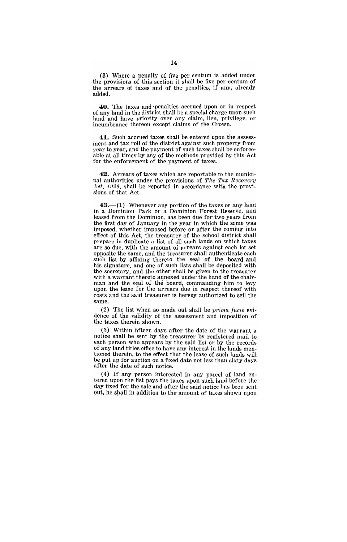(3) Where a penalty of five per centum is added under the provisions of this section it shall be five per centum of the arrears of taxes and of the penalties, if any, already added.

**40.** The taxes and 'penalties accrued upon or in respect of any land in the district shall be a special charge upon such land and have priority over any claim, lien, privilege, or incumbrance thereon except claims of the Crown.

**41.** Such accrued taxes shall be entered upon the assessment and tax roll of the district against such property from year to year, and the payment of such taxes shall be enforceable at all times by any of the methods provided by this Act for the enforcement of the payment of taxes.

**42.** Arrears of taxes which are reportable to the municipal authorities under the provisions of *The Tax Recovery Act,* 1929, shall be reported in accordance with the provisions of that Act.

 $43-$ (1) Whenever any portion of the taxes on any land in a Dominion Park or a Dominion Forest Reserve, and leased from the Dominion, has been due for two years from the first day of January in the year in which the same was imposed, whether imposed before or after the coming into effect of this Act, the treasurer of the school district shall prepare in duplicate a list of all such lands on which taxes are so due, with the amount of arrears against each lot set opposite the same, and the treasurer shall authenticate each such list by affixing thereto the seal of the board and his signature, and one of such lists shall be deposited with the secretary, and the other shall be given to the treasurer with a warrant thereto annexed under the hand of the chairman and the seal of the board, commanding him to levy upon the lease for the arrears due in respect thereof with costs and the said treasurer is hereby authorized to sell the same.

(2) The list when so made out shall be *prima facie* evidence of the validity of the assessment and imposition of the taxes therein shown.

(3) Within fifteen days after the date of the warrant a notice shall be sent by the treasurer by registered mail to each person who appears by the said list or by the records of any land titles office to have any interest in the lands mentioned therein, to the effect that the lease of such lands will be put up for auction on a fixed date not less than sixty days after the date of such notice.

(4) If any person interested in any parcel of land entered upon the list pays the taxes upon such land before the day fixed for the sale and after the said notice has been sent out, he shall in addition to the amount of taxes shown upon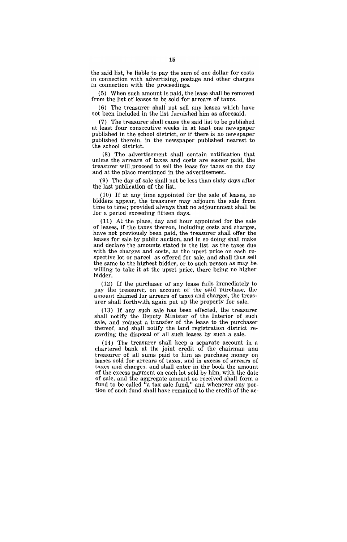the said list, be liable to pay the sum of one dollar for costs in connection with advertising, postage and other charges in connection with the proceedings.

(5) When such amount is paid, the lease shall be removed from the list of leases to be sold for arrears of taxes.

(6) The treasurer shall not sell any leases which have not been included in the list furnished him as aforesaid.

(7) The treasurer shall cause the said list to be published at least four consecutive weeks in at least one newspaper published in the school district, or if there is no newspaper published therein, in the newspaper published nearest to the school district.

(8) The advertisement shall contain notification that unless the arrears of taxes and costs are sooner paid, the treasurer will.proceed to sell the lease for taxes on the day and at the place mentioned in the advertisement.

(9) The day of sale shall not be less than sixty days after the last publication of the list.

(10) If at any time appointed for the sale of leases, no bidders appear, the treasurer may adjourn the sale from time to time; provided always that no adjournment shall be for a period exceeding fifteen days.

(11) At the place, day and hour appointed for the sale of leases, if the taxes thereon, including costs and charges, have not previously been paid, the treasurer shall offer the leases for sale by public auction, and in so doing shall make and declare the amounts stated in the list as the taxes due with the charges and costs, as the upset price on each respective lot or parcel as offered for sale, and shall thus sell the same to the highest bidder, or to such person as may be willing to take it at the upset price, there being no higher bidder.

(12) If the purchaser of any lease fails immediately to pay the treasurer, on account of the said purchase, the amount claimed for arrears of taxes and charges, the treasurer shall forthwith; again put up the property for sale.

(13) If any such sale has been effected, the treasurer shall notify the Deputy Minister of the Interior of such sale, and request a transfer of the lease to the purchaser thereof, and shall notify the land registration district regarding the disposal of all such leases by such a sale.

(14) The treasurer shall keep a separate account in a chartered bank at the joint credit of the chairman and treasurer of all sums paid to him as purchase money on leases sold for arrears of taxes, and in excess of arrears of taxes and charges, and shall enter in the book the amount of the excess payment on each lot sold by him, with the date of sale, and the aggregate amount so received shall form a fund to be called "a tax sale fund," and whenever any portion of such fund shall have remained to the credit of the ac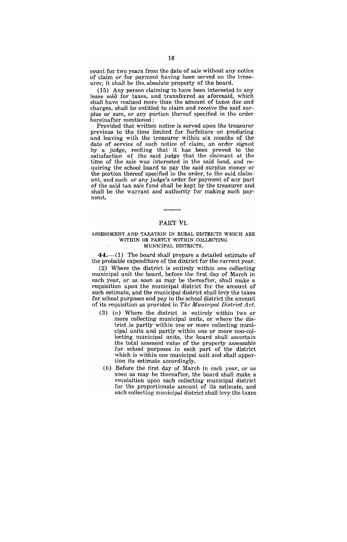count for two years from the date of sale without any notice of correction of claim or claim of claim in the treat-<br>defining the newment having been served on the treasclaim or for payment naving been served on the t<br>on it shall be the absolute property of the board. urer, it shall be the absolute property of the board.<br>(15) Any person claiming to have been interested in any

lease sold for taxes, and transferred as aforesaid, which shall have realized more than the amount of taxes due and charges, shall be entitled to claim and receive the said surplus or sum, or any portion thereof specified in the order us or sum, or any port hereinafter mentioned:<br>Provided that written notice is served upon the treasurer

previous to the time limited for forfeiture on producing evious to the time innitied for fortentifie on producing<br>ad leaving with the treasurer within six months of the designed with the treasurer within six months of the ite of service of such notice of claim, an order signed<br>that judge, reciting that it has been proved to the a judge, reciting that it has been proved to the  $t_{\text{inter}}$  the said judge that the claimant at the tistaction of the said judge that the claimant at the<br>me of the sale was interested in the said land, and re $q$  and the said was interested in the said failed, and re-<br> $q$  intro-the school board to pay the said surplus money or quiring the school board to pay the said surplus money or the portion thereof specified in the order, to the said claime portion thereof specified in the order, to the said claim-<br>it and such or any judge's order for payment of any part it, and such of any judge s order for payment of any part<br>the soid tax sale fund shall be kept by the treasurer and of the said tax sale fund shall be kept by the treasurer and shall be the warrant and authority for making such pay-<br>ment.

# PART VI.

#### ASSESSMENT AND TAXATION IN RURAL DISTRICTS WHICH ARE WITHIN OR PARTLY WITHIN COLLECTING MUNICIPAL DISTRICTS.

 $4$  -(1) The board shall prepare a detailed estimate of **the probable expenditure of the district for the current year.**<br>The probable expenditure of the district for the current year.

(2) Where the district is entirely within one collecting  $(2)$  where the district is entirely within one conecting<br>uniting unit the board, before the first day of March in unicipal unit the board, before the first day of march in<br>what your ar as soon as may be thereafter, shall make a each year, or as soon as may be thereafter, shall make a requisition upon the municipal district for the amount of such estimate, and the municipal district shall levy the taxes for estimate, and the municipal district shall levy the taxes of its requisition as provided in *The Municipal Distriet Act.*   $\binom{3}{2}$  (a) Where the district is entirely within two or

- more collecting municipal units, or where the dis-<br>- and collecting municipal units, or where the dismore collecting municipal units, or where the district is partly within one or more collecting municipal units and partly within one or more non-collecting municipal units, the board shall ascertain the total assessed value of the property assessable for school purposes in each part of the district which is within one municipal unit and shall apportion its estimate accordingly.
- (b) Before the first day of March in each year, or as efore the first day of march in each year, or as<br>on as may be thereafter, the board shall make a soon as may be thereafter, the board shall make a requisition upon each collecting municipal district<br>for the proportionate amount of its estimate, and each collecting municipal district shall levy the taxes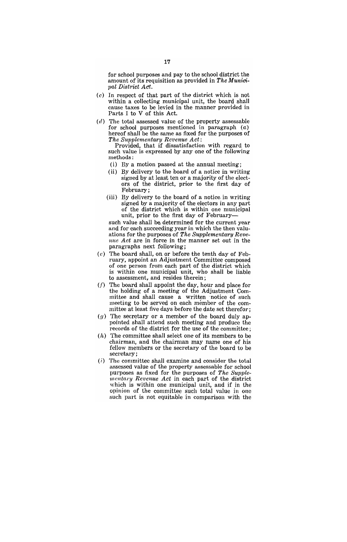for school purposes and pay to the school district the amount of its requisition as provided in *The Municipal District Act.* 

- (c) In respect of that part of the district which is not within a collecting municipal unit, the board shall cause taxes to be levied in the manner provided in Parts I to V of this Act.
- $(d)$  The total assessed value of the property assessable for school purposes mentioned in paragraph  $(a)$ hereof shall be the same as fixed for the purposes of *The Supplementary Revenue Act:*

Provided, that if dissatisfaction with regard to such value is expressed by anyone of the following methods:

- (i) By a motion passed at the annual meeting;
- (ii) By delivery to the board of a notice in writing signed by at least ten or a majority of the electors of the district, prior to the first day of February;
- (iii) By delivery to the board of a notice. in writing signed by a majority of the electors in any part of the district which is within one municipal unit, prior to the first day of February-

such value shall be determined for the current year and for each succeeding year in which the then valuations for the purposes of *The Supplementary Revenue Act* are in force in the manner set out in the paragraphs next following;

- (e) The board shall, on or before the tenth day of February, appoint an Adjustment Committee composed of one person from each part of the district which is within one municipal unit, who shall be liable to assessment; and resides therein;
- (f) The board shall appoint the day, hour and place for the holding of a meeting of the Adjustment Committee and shall cause a written notice of such meeting to be served on each member of the committee at least five days before the date set therefor;
- $(y)$  The secretary or a member of the board duly appointed shall attend such meeting and produce the records of the district for the use of the committee;
- $(h)$  The committee shall select one of its members to be chairman, and the chairman may name one of his fellow members or the secretary of the board to be secretary;
- $(i)$  The committee shall examine and consider the total assessed value of the property assessable for school purposes as fixed for the purposes of *The Supplementary Revenue Act* in each part of the district which is within one municipal unit, and if in the opinion of the committee such total value in one such part is not equitable 'in comparison with the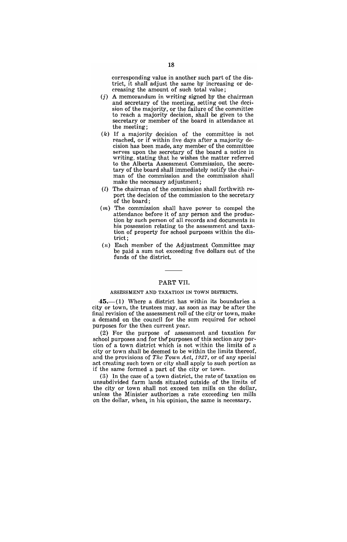corresponding value in another such part of the district, it shall adjust the same by increasing or decreasing the amount of such total value;

- $(j)$  A memorandum in writing signed by the chairman and secretary of the meeting, setting out the decision of the majority, or the failure of the committee to reach a majority decision, shall be given to the secretary or member of the board in attendance at the meeting;
- $(k)$  If a majority decision of the committee is not reached, or if within five days after a majority decision has been made, any member of the committee serves upon the secretary of the board a notice in writing, stating that he wishes the matter referred to the Alberta Assessment Commission, the secretary of the board shall immediately notify the chairman of the commission and the commission shall make the necessary adjustment;
- (l) The chairman of the commission shall forthwith report the decision of the commission to the secretary of the board;
- (m) The commission shall have power to compel the attendance before it of any person and the production by such person of all records and documents in his possession relating to the assessment and taxation of property for school purposes within the district;
- (n) Each member of the Adjustment Committee may be paid a sum not exceeding five dollars out of the funds of the district.

#### PART VII.

# ASSESSMENT AND TAXATION IN TOWN DISTRICTS.

 $45,-(1)$  Where a district has within its boundaries a city or town, the trustees may, as soon as may be after the final revision of the assessment roll of the city or town, make a demand on the council for the sum required for school purposes for the then current year.

(2) For the purpose of assessment and taxation for school purposes and for the' purposes of this section any portion of a town district which is not within the limits of a city or town shall be deemed to be within the limits thereof, and the provisions of *The Town Act,* 1927, or of any special act creating such town or city shall apply to such portion as if the same formed a part of the city or town.

(3) In the case of a town district, the rate of taxation on unsubdivided farm lands situated outside of the limits of the city or town shall not exceed ten mills on the dollar, unless the Minister authorizes a rate exceeding ten mills on the dollar, when, in his opinion, the same is necessary,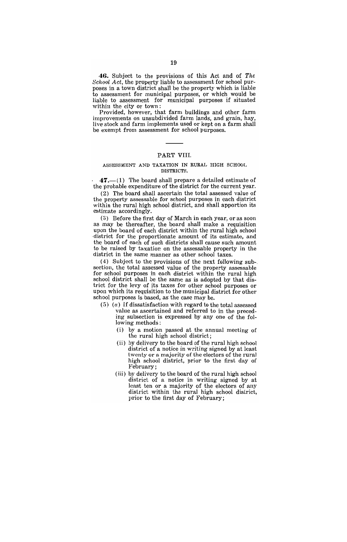**46.** Subject to the provisions of this Act and of *The*  School Act, the property liable to assessment for school purposes in a town district shall be the property which is liable to assessment for municipal purposes, or which would be liable to assessment for municipal purposes if situated within the city or town:

Provided, however, that farm buildings and other farm improvements on unsubdivided farm lands, and grain, hay, live stock and farm implements used or kept on a farm shall be exempt from assessment for school purposes.

# PART VIII.

#### ASSESSMENT AND TAXATION IN RURAL HIGH SCHOOL DISTRICTS.

 $47.$ —(1) The board shall prepare a detailed estimate of the probable expenditure of the district for the current year.

(2) The board shall ascertain the total assessed value of the property assessable for school purposes in each district within the rural high school district, and shall apportion its estimate accordingly.

(3) Before the first day of March in each year, or as soon as may be thereafter, the board shall make a requisition upon the board of each district within the rural high school -district for the proportionate amount of its estimate, and the board of each of such districts shall cause such amount to be raised by taxation on the assessable property in the district in the same manner as other school taxes.

(4) Subject to the provisions of the next following subsection, the total assessed value of the property assessable for school purposes in each district within the rural high school district shall be the same as is adopted by that district for the levy of its taxes for other school purposes or upon which its requisition to the municipal district for other school purposes is based, as' the case may be.

- (5) ( $a$ ) If dissatisfaction with regard to the total assessed value as ascertained and referred to in the preceding subsection is expressed by anyone of the following methods:
	- (i) by a motion passed at the annual meeting of the rural high school district;
	- (ii) by delivery to the board of the rural high school district of a notice in writing signed by at least twenty or a majority of the electors of the rural high school district, prior to the first day of February;
	- (iii) by delivery to the board of the rural high school district of a notice in writing signed by at least ten or a majority of the electors of any district within the rural high school district, prior to the first day of February;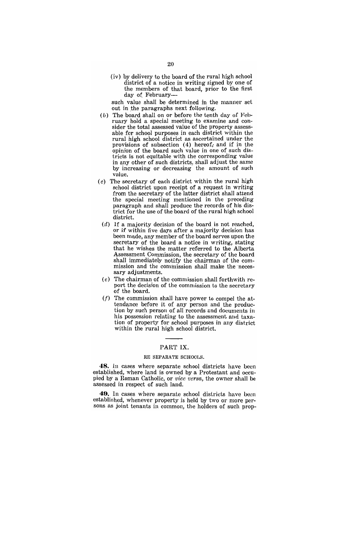(iv) by delivery to the board of the rural high school district of a notice in writing signed by one of the members of that board, prior to the first day *ot* February--

such value shall be determined in the manner set out in the paragraphs next following.

- *(b)* The board shall on or before the tenth day of February hold a special meeting to examine and consider the total assessed value of the property assessable for school purposes in each district within the rural high school district as ascertained under the provisions of subsection  $(4)$  hereof, and if in the opinion of the board such value in one of such districts is not equitable with the corresponding value in any other of such districts, shall adjust the same by increasing or decreasing the amount of such value.
- $(c)$  The secretary of each district within the rural high school district upon receipt of a request in writing from the secretary of the latter district shall attend the special meeting mentioned in the preceding paragraph and shall produce the records of his district for the use of the board of the rural high school district.
	- $(d)$  If a majority decision of the board is not reached, or if within five days after a majority decision has been made, any member of the board serves upon the secretary of the board a notice in writing, stating that he wishes the matter referred to the Alberta Assessment Commission, the secretary of the board shall immediately notify the chairman of the commission and the comrnission shall make the' necessary adjustments.
	- (e) The chairman of the commission shall forthwith report the decision of the commission to the secretary of the board.
	- $(f)$  The commission shall have power to compel the attendance before it of any person and the production by such person of all records and documents in his possession relating to the assessment and taxation of property for school purposes in any district within the rural high school district.

#### PART IX.

#### RE SEPARATE SCHOOLS.

**48.** In cases where separate school districts have been established, where land is owned by a Protestant and occupied by a Roman Catholic, or *vice versa,* the owner shall be assessed in respect of such land.

**49.** In cases where separate school districts have been established, whenever property is held by two or more persons as joint tenants in common, the holders of such prop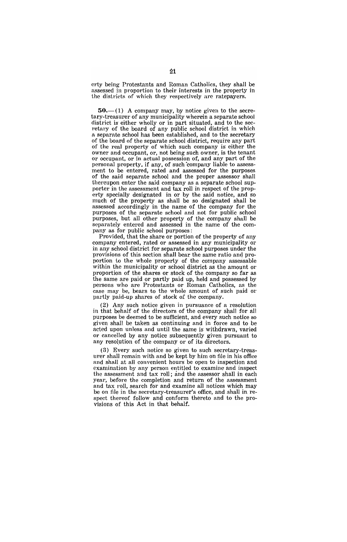erty being Protestants and Roman Catholics, they shall be assessed in proportion to their interests in the property in thc districts of which they respectively arc ratepayers.

 $50-$ (1) A company may, by notice given to the secretary-treasurer of any municipality wherein a separate school district is either wholly or in part situated, and to the secretary of the board of any public school district in which a separate school has been established, and to the secretary of the board of the separate school district, require any part of the real property of which such company is either the owner and occupant, or, not being such owner, is the tenant or occupant, or in actual possession of, and any part of the personal property. if any, of such 'company liable to assessment to be entered, rated and assessed for the purposes of the said separate school and the proper assessor shall thereupon enter the said company as a separate school supporter in the assessment and tax roll in respect of the property specially designated in or by the said notice, and so much of the property as shall be so designated shall be assessed accordingly in the name of the company for the purposes of the separate school and not for public school purposes, but all other property of the company shall be separately entered and assessed in the name of the company as for public school purposes:

Provided, that the share or portion of the property of any company entered, rated or assessed in any municipality or in any school district for separate school purposes under the provisions of this section shall bear the same ratio and proportion to the whole property of the company assessable within the municipality or school district as the amount or proportion of the shares or stock of the company so far as the same are paid or partly paid up, held and possessed by persons who are Protestants or Roman Catholics, as the case may be, bears to the whole amount of such paid or partly paid-up shares of stock of the company.

(2) Any such notice given in pursuance of a resolution in that behalf of the directors of the company shall for all purposes be deemed to be SUfficient, and every such notice so given shall be taken as continuing and in force and to be acted upon unless and until the same is withdrawn, varied or cancelled by any notice subsequently given pursuant to any resolution of the company or of its directors.

(3) Every such notice so given to such secretary-treasurer shall remain with and be kept by him on file in his office and shall at all convenient hours be open to inspection and examination by any person entitled to examine and inspect the assessment and tax roll; and the assessor shall in each year, before the completion and return of the assessment and tax roll, search for and examine all notices which may be on file in the secretary-treasurer's office, and shall in respect thereof follow and conform thereto and to the provisions of this Act in that behalf.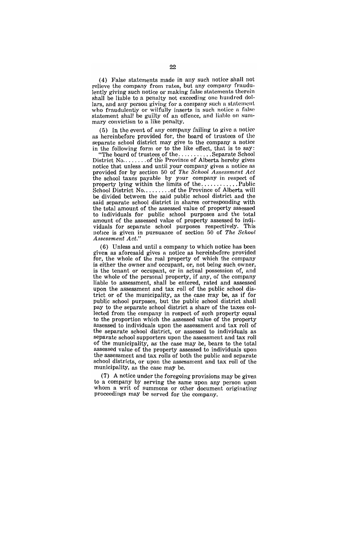(4) False statements made in any such notice shall not relieve the company from rates, but any company fraudulently giving such notice or making false statements therein shall be liable to a penalty not exceeding one hundred dollars, and any person giving for a company such a statement who fraudulently or wilfully inserts in such notice a false statement shall be guilty of an offence, and liable on summary conviction to a like penalty.

(5) In the event of any company failing to give n notice as hereinbefore provided for, the board of trustees of the s incrember<br>to provide a school district may give to the company a notice in the following form or to the like effect, that is to say: "The board of trustees of the ........... Separate School

"The board of trustees of the...........Separate School<br>District No........of the Province of Alberta hereby gives notice that unless and until your company gives a notice as provided for by section 50 of *The School Assessment Act*  he school taxes payable by your company in respect of property lying within the limits of the ..............Public School District No......... of the Province of Alberta will be divided between the said public school district and the said separate school district in shares corresponding with the total amount of the assessed value of property assessed to individuals for public school purposes and the total amount of the assessed value of property assessed to individuals for separate school purposes respectively. This notice is given in pursuance of section 50 of *The School Assessment Act."* 

(6) Unless and until a company to which notice has been given. as aforesaid gives a notice as hereinbefore provided for, the whole of the real property of which the company is either the owner and occupant, or, not being such owner, is the tenant or occupant, or in actual possession of, and the whole of the personal property, if any, of the company liable to assessment, shall be entered, rated and assessed upon the assessment and tax roll of the public school district or of the municipality, as the case may be, as if for public school purposes, but the public school district shall pay to the separate school district a share of the taxes collected from the company in respect of such property equal to the proportion which the assessed value of the property assessed to individuals upon the assessment and tax roll of the separate school district, or assessed to individuals as separate school supporters upon the assessment and tax roll of the municipality, as' the case may be, bears to the total assessed value of the property assessed to individuals upon the assessment and tax rolls of both the public and separate school districts, or upon the assessment and tax roll of the municipality, as the case may be.

(7) A notice under the foregoing provisions may be given to a company by serving the same upon any person upon whom a writ of summons or other document originating proceedings may be served for the company.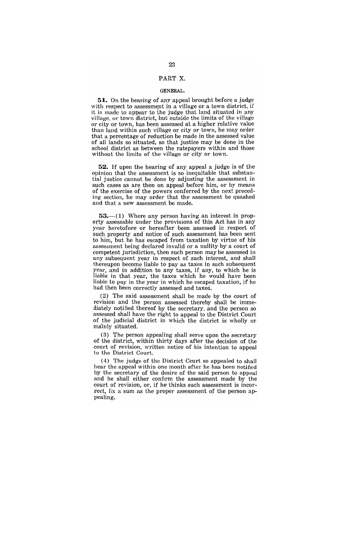# PART X.

#### GENERAL.

**51.** On the hearing of any appeal brought before a judge with respect to assessment in a village or a town district, if it is made to appear to the judge that land situated in any village, or town district, but' outside the limits of the village or city or town, has been assessed at a higher relative value than land within such village or city or town, he may order that a percentage of reduction be made in the assessed value of all lands so situated, so that justice may be done in the school district as between the ratepayers within and those without the limits of the village or city or town.

**52.** If upon the hearing of any appeal a judge is of the opinion that the assessment is so inequitable that substantial justice cannot be done by adjusting the assessment in such cases as are then on appeal before him, or by means of the exercise of the powers' conferred by the next preceding section, he may order that the assessment be quashed and that a new assessment be made.

 $53-$ (1) Where any person having an interest in property assessable under the provisions of this Act has in any year heretofore or hereafter been assessed in respect of such property and notice of such assessment has been sent to him, but he has' escaped from taxation by virtue of his assessment being declared invalid or a nullity by a court of competent jurisdiction, then such person may be assessed in any subsequent year in respect of such interest, and shall thereupon become liable to pay as taxes in such subsequent year, and in addition to any taxes, if any, to which he is liable in that year, the taxes which he would have been liable to pay in the year in which he escaped taxation, if he had then been correctly assessed and taxed.

(2) The said assessment shall be made by the court of revision and the person assessed thereby shall be immediately notified thereof by the secretary, and the person so assessed shall have the right to appeal to the District Court of the judicial district in which the district is wholly or mainly situated.

(3) The person appealing shall serve upon the secretary of the district, within thirty days after the decision of the court of revision, written notice of his intention to appeal to the District Court.

(4) The judge of the District Court so appealed to shall hear the appeal within one month after he has been notified by the secretary of the desire of the said person to appeal and he shall either confirm the assessment made by the court of revision, or, if he thinks such assessment is incorrect, fix a sum as the proper assessment of the person appealing.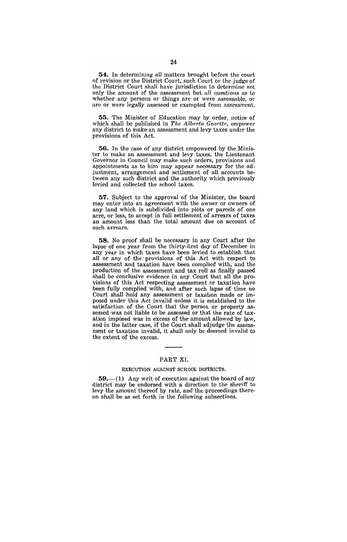**54.** In determining all matters brought before the court of revision or the District Court, such Court or the judge of the District Court shall have jurisdiction to determine not only the amount of the assessment but all questions as to whether any persons or things are or were assessable, or are or were legally assessed or exempted from assessment.

**55.** The Minister of Education may by order. notice of which shall be published in *The Alberta Gazette*, empower any district to make an assessment and levy taxes under the provisions of this Act.

**56.** In the case of any district empowered by the Minister to make an assessment and levy taxes, the Lieutenant Governor in Council may make such orders, provisions and appointments as to him may appear necessary for the adjustment, arrangement and settlement of all accounts between any such district and the authority which previously levied and collected the school taxes.

**57.** Subject to the approval of the Minister, the board may enter into an agreement with the owner or owners of any land which is subdivided into plots or parcels of one acre, or less, to accept in full settlement of arrears of taxes an amount less than the total amount due on account of such arrears.

**58.** No proof shall be necessary in any Court after the lapse of one year from the thirty-first day of December in any year in which taxes have been levied to establish that all or any of the' provisions of this Act with respect to assessment and taxation have been complied with, and the production of the assessment and tax roll as finally passed shall be conclusive evidence in any Court that all the provisions of this Act respecting assessment or taxation have been fully complied with, and after such lapse of time no Court shall hold any assessment or taxation made or imposed under this Act invalid unless it is established to the satisfaction of the Court that the person or property assessed was not liable to be assessed or that the rate of taxation imposed was in excess of the amount allowed by law, and in the latter case, if the Court shall adjudge the assessment or taxation invalid, it shall only be deemed invalid to the extent of the excess.

#### PART XI.

### EXECUTION AGAINST SCHOOL DISTRICTS.

 $59$ .-(1) Any writ of execution against the board of any district may be endorsed with a direction to the sheriff to levy the amount thereof by rate, and the proceedings thereon shall be as set forth in the following subsections.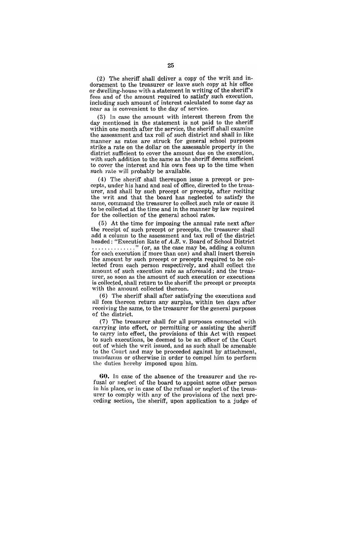$(2)$  The sheriff shall deliver a copy of the writ and indorsement to the treasurer or leave such copy at his office or dwelling-house with a statement in writing of the sheriff's fees and of the amount required to satisfy such execution, including such amount of interest calculated to some day as near as is convenient to the day of service.

(3) In case the amount with interest thereon from the day mentioned in the statement is not paid to the sheriff within one month after the service, the sheriff shall examine the assessment and tax roll of such district and shall in like manner as rates are struck for general school purposes strike a rate on the dollar on the assessable property in the district sufficient to cover the amount due on the execution, with such addition to the same as the sheriff deems sufficient to cover the interest and his own fees up to the time when such rate will probably be available.

(4) The sheriff shall thereupon issue a precept or precepts, under his hand and seal of office, directed to the treasspus, under his hand and sear or once, un ected to the treas-<br>rer, and shall by such precept or precepts, after reciting ter, and shall by such precept of precepts, after reciting<br>the writ and that the board has neglected to satisfy the same, command the treasurer to collect such rate or cause it to be collected at the time and in the manner by law required for the collection of the general school rates.

(5) At the time for imposing the annual rate next after the receipt of such precept or precepts, the treasurer shall add a column to the assessment and tax roll of the district headed: "Execution Rate of A.B. v. Board of School District .............." (or, as the case may be, adding a column for each execution if more than one) and shall insert therein the amount by such precept or precepts required to be collected from each person respectively, and shall collect the amount of such execution rate as aforesaid; and the treasurer, so soon as the amount of such execution or executions is collected, shall return to the sheriff the precept or precepts with the amount collected thereon.

(6) The sheriff shall after satisfying the executions and all fees thereon return any surplus, within ten days after receiving the same, to the treasurer for the general purposes of the district.

(7) The treasurer shall for all purposes connected with carrying into effect, or permitting or assisting the sheriff to carry into effect, the provisions of this Act with respect to such executions, be deemed to be an officer of the Court out of which the writ issued, and as such shall be amenable to the Court and may be proceeded against by attachment, mandamus or otherwise in order to compel him to perform the duties hereby imposed upon him.

**60.** Incase of the absence of the treasurer and the refusal or neglect of the board to appoint some other person in his place, or in case of the refusal or neglect of the treasthis place, of in ease of the refusar of hegiect of the treasced to comply what any of the provisions of the next pre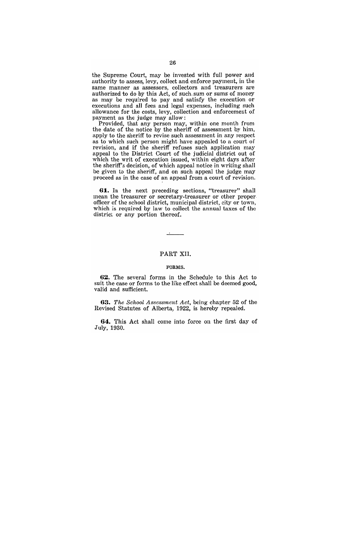the Supreme Court, may be invested with full power and authority to assess, levy, collect and enforce payment, in the same manner as assessors, collectors and treasurers are authorized to do by this Act, of such sum or sums of money as may be required to pay and satisfy the execution or executions and all fees and legal expenses, including such allowance for the costs, levy, collection and enforcement of payment as the judge may allow:

Provided, that any person may, within one monih from the date of the notice by the sheriff of assessment by him, apply to the sheriff to revise such assessment in any respect as to which such person might have appealed to a court of revision, and if the sheriff refuses such application may appeal to the District Court of the judicial district out of which the writ of execution issued, within eight days after the sheriff's decision, of which appeal notice in writing shall be given to the sheriff, and on such appeal the judge may proceed as in the case of an appeal from a court of revision.

**61.** In the next preceding sections, "treasurer" shall mean the treasurer or secretary-treasurer or other proper officer of the school district, municipal district, city or town, which is required by law to collect the annual taxes of the district or any portion thereof.

# PART XII.

#### FORMS.

**62.** The several forms in the Schedule to this Act to suit the case or forms to the like effect shall be deemed good, valid and sufficient.

*63. The School Assessment Act,* being chapter 52 of the Revised Statutes of Alberta, 1922, is hereby repealed.

**64.** This Act shall come into force on the first day of July, 1930.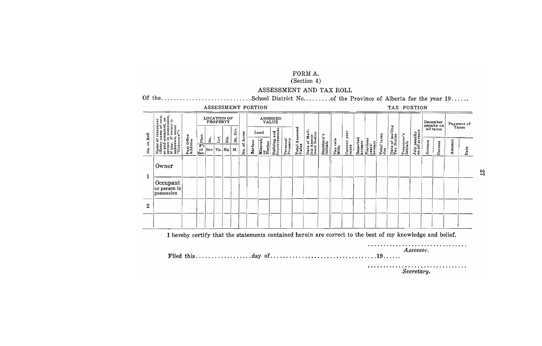|                |                                                                                                           |                        |                          |                    |                                |              |                    |       |         | ASSESSMENT PORTION       |                              |                      |                         |                                             |                         |                   |                       |                     |                               |                    |                               | TAX PORTION             |                                |           |                        |                     |      |
|----------------|-----------------------------------------------------------------------------------------------------------|------------------------|--------------------------|--------------------|--------------------------------|--------------|--------------------|-------|---------|--------------------------|------------------------------|----------------------|-------------------------|---------------------------------------------|-------------------------|-------------------|-----------------------|---------------------|-------------------------------|--------------------|-------------------------------|-------------------------|--------------------------------|-----------|------------------------|---------------------|------|
|                | ់ទី                                                                                                       |                        |                          |                    | <b>LOCATION OF</b><br>PROPERTY |              |                    |       |         |                          | <b>ASSESSED</b><br>VALUE     |                      |                         |                                             |                         |                   |                       |                     |                               |                    |                               |                         |                                |           | December<br>penalty on | Payment of<br>Taxes |      |
|                | unknown<br>"Unknov                                                                                        |                        | Plan<br>$\overline{P't}$ |                    |                                |              | Σíα                | Acres |         | Land                     |                              |                      | Total Assessed<br>Value |                                             |                         |                   |                       |                     |                               |                    | Date of mailing<br>Tax Notice |                         |                                | all taxes |                        |                     |      |
| on Roll        |                                                                                                           | Post Office<br>Address |                          | $\dot{\texttt{z}}$ | ݤ.                             | Bik.         | $\mathbf{\hat{s}}$ | đ     | Surface | Minerals<br>or<br>Timber | Building and<br>Improvements | Personal<br>Property |                         | Date of Mail-<br>ing Assess-<br>ment Notice | Secretary's<br>Initials | Tax rate<br>Mills | Current year<br>taxes | Reported<br>arrears | Previous<br>years'<br>arrears | Total taxes<br>due |                               | Treasurer's<br>Initials | July penalty<br>on all arrears | Arrears   |                        | Amount              |      |
| $\frac{6}{2}$  |                                                                                                           |                        | Sec.                     | of Sec.            |                                | Tp.  Rg.  M. |                    | Š.    |         |                          |                              |                      |                         |                                             |                         |                   |                       |                     |                               |                    |                               |                         |                                |           | Current                |                     | Date |
|                | Owner                                                                                                     |                        |                          |                    |                                |              |                    |       |         |                          |                              |                      |                         |                                             |                         |                   |                       |                     |                               |                    |                               |                         |                                |           |                        |                     |      |
| 1              | Occupant<br>or person in<br>possession                                                                    |                        |                          |                    |                                |              |                    |       |         |                          |                              |                      |                         |                                             |                         |                   |                       |                     |                               |                    |                               |                         |                                |           |                        |                     |      |
| $\overline{2}$ |                                                                                                           |                        |                          |                    |                                |              |                    |       |         |                          |                              |                      |                         |                                             |                         |                   |                       |                     |                               |                    |                               |                         |                                |           |                        |                     |      |
|                | I hereby certify that the statements contained herein are correct to the best of my knowledge and belief. |                        |                          |                    |                                |              |                    |       |         |                          |                              |                      |                         |                                             |                         |                   |                       |                     |                               |                    |                               |                         |                                |           |                        |                     |      |
|                |                                                                                                           |                        |                          |                    |                                |              |                    |       |         |                          |                              |                      |                         |                                             |                         |                   |                       |                     |                               |                    |                               |                         |                                |           |                        |                     |      |

FORM A. (Section 4)

 $\mathcal{L}$ 

*Secretary.*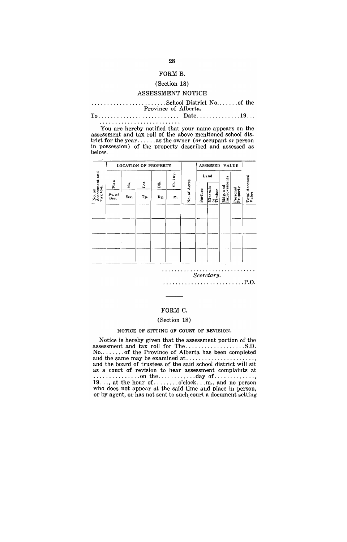# FORM B.

# (Section 18)

# ASSESSMENT NOTICE

# ...............................School District No........of the Province of Alberta. To .......................... Date .............. 19 .. .

You are hereby notified that your name appears on the assessment and tax roll of the above mentioned school dis-

issessment and tax roll of the above mentioned school dis-<br>rict for the year......as the owner *(or* occupant *or* person in possession) of the property described and assessed as below.

|                                      |                |      | LOCATION OF PROPERTY |      |          |              |         | <b>ASSESSED</b>          | <b>VALUE</b>              |                      |                         |
|--------------------------------------|----------------|------|----------------------|------|----------|--------------|---------|--------------------------|---------------------------|----------------------|-------------------------|
| No. on<br>Assessment and<br>Tax Roll | Plan           | ģ.   | Lot                  | aik. | Sb. Div. |              |         | Land                     |                           |                      | Total Assesseo<br>Value |
|                                      |                |      |                      |      |          |              |         |                          |                           |                      |                         |
|                                      | Pt. of<br>Sec. | Sec. | Tp.                  | Rg.  | М.       | No. of Acres | Surface | Minerals<br>or<br>Timber | Bldg. and<br>Improvements | Personal<br>Property |                         |
|                                      |                |      |                      |      |          |              |         |                          |                           |                      |                         |
|                                      |                |      |                      |      |          |              |         |                          |                           |                      |                         |
|                                      |                |      |                      |      |          |              |         |                          |                           |                      |                         |
|                                      |                |      |                      |      |          |              |         |                          |                           |                      |                         |
|                                      |                |      |                      |      |          |              |         |                          | ä,                        |                      |                         |
|                                      |                |      |                      |      |          |              |         | Secretary.               |                           |                      |                         |

.......................... P.O.

# FORM C.

# (Section 18)

#### NOTICE OF SITTING OF COURT OF REVISION.

Notice is hereby given that the assessment portion of the assessment and tax roll for The ................... S.D. ssessment and tax roll for The......................S.D.<br>Vo........of the Province of Alberta has been completed and the same may be examined at ...................... , and the board of trustees of the said school district will sit as a court of revision to hear assessment complaints· at ............... on the ............ day of ............. , 19 ... , at the hour of ........ 0' clock ... m., and no person who does not appear at the said time and place in person, or by agent, or has not sent to such; court a document setting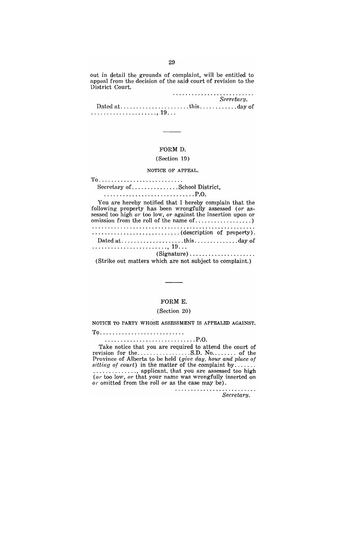out in detail the grounds of complaint, will be entitled to appeal from the decision of the said court of revision to the District Court.

. . . . . . . . . . . . . . . . Secretary. Dated at ...................... this ............ day of ..................... ,19 .. .

### FORM D.

# (Section 19)

# NOTICE OF APPEAL.

To .......................... . Secretary of ............... School District, ............................. P.O.

You are hereby notified that I hereby complain that the following property has been wrongfully assessed *(or* assessed too high *or* too low, *or* against the insertion upon or omission from the roll of the name of. ................. ) ............................ (description of property). Dated at .................... this .............. day of ........................ , 19 .. .

(Signature) .................... .

(Strike out matters which are not subject to complaint.)

### FORM E.

### (Section 20)

NOTICE TO PARTY WHOSE ASSESSMENT IS APPEALED AGAINST.

To .......................... .

............................. P.O.

Take notice that you are required to attend the court of Take notice that you are required to attend the court of evision for the ................. S.D. No......... of the Province of Alberta to be held (give *day.* hour and place of sitting of court) in the matter of the complaint by  $\dots$ . **Correct Community of the Community of Control**<br>*Cor* too low, *or* that your name was wrongfully inserted on  $or$  omitted from the roll  $or$  as the case may be).

Secretary.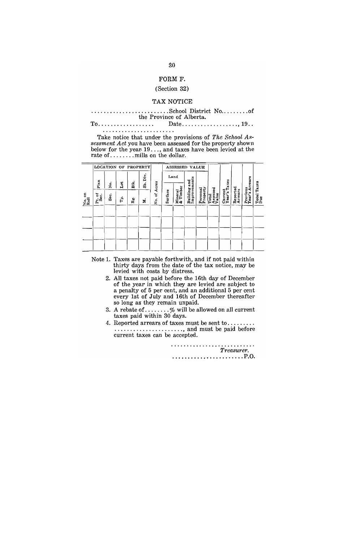# FORM F.

#### (Section 32)

# TAX NOTICE

### ............................School District No............of the Province of Alberta.

To.................. Date .................. ,19 ..

Take notice that under the provisions of *The School ARsessment Act* you have been assessed for the property shown ess*ment Act* you have been assessed for the property shown<br>elow for the year 19.... and taxes have been levied at the elow for the year 19. . ., and taxes<br>ate of . . . . . . . mills on the dollar.

|                      |                |      |                         | LOCATION OF PROPERTY |            |              |         |                     | ASSESSED VALUE               |                      |                            |                         |                     |                            |                    |
|----------------------|----------------|------|-------------------------|----------------------|------------|--------------|---------|---------------------|------------------------------|----------------------|----------------------------|-------------------------|---------------------|----------------------------|--------------------|
|                      | Plan           | ż.   | ă                       | Bik.                 | Div.<br>జే | Acres        |         | Land                |                              |                      |                            |                         |                     |                            |                    |
| $\frac{N_0}{R_0}$ on | Pt. of<br>Sec. | sec. | $\mathbf{r}_\mathrm{p}$ | Rg.                  | ×.         | đ<br>s.<br>Z | Surface | Mineral<br>& Timber | Building and<br>Improvements | Personal<br>Property | Assessed<br>Value<br>Total | Current<br>Year's Taxes | Reported<br>Arrears | Previous<br>Year's Arrears | Total Taxes<br>Due |
|                      |                |      |                         |                      |            |              |         |                     |                              |                      |                            |                         |                     |                            |                    |
|                      |                |      |                         |                      |            |              |         |                     |                              |                      |                            |                         |                     |                            |                    |
|                      |                |      |                         |                      |            |              |         |                     |                              |                      |                            |                         |                     |                            |                    |

Note 1. Taxes are payable forthwith, and if not paid within thirty days from the date of the tax notice, may be levied with costs by distress.

- 2. All taxes not paid before the 16th day of December of the year in which they are levied are subject to a penalty of 5 per cent, and an additional 5 per cent every 1st of July and 16th of December thereafter very not or oury and not to D.<br>a long as they remain unpaid.
- so long as they remain unpaid.<br>A rebate of  $\dots\dots$  % will be allowed on all current taxes paid within 30 days.
- 4. Reported arrears of taxes must be sent to ........ . . . . . . . . . . . . . . . . . . . . . . . , and must be paid before current taxes can be accepted.

*Treasurer .* ....................... P.O.